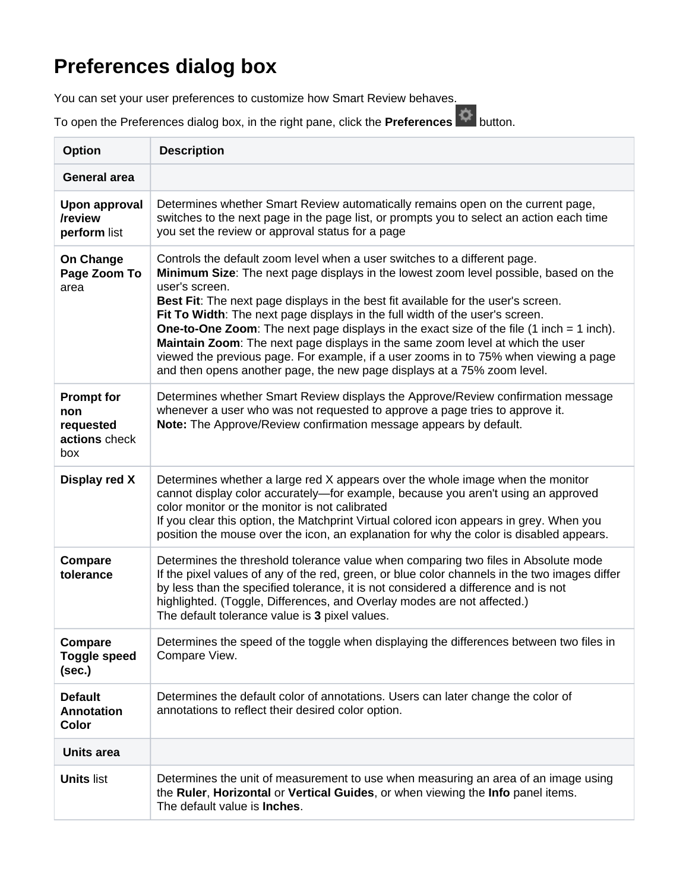## **Preferences dialog box**

You can set your user preferences to customize how Smart Review behaves.

To open the Preferences dialog box, in the right pane, click the **Preferences**  $\bullet$  button.

| <b>Option</b>                                                 | <b>Description</b>                                                                                                                                                                                                                                                                                                                                                                                                                                                                                                                                                                                                                                                                                                                  |  |  |  |  |
|---------------------------------------------------------------|-------------------------------------------------------------------------------------------------------------------------------------------------------------------------------------------------------------------------------------------------------------------------------------------------------------------------------------------------------------------------------------------------------------------------------------------------------------------------------------------------------------------------------------------------------------------------------------------------------------------------------------------------------------------------------------------------------------------------------------|--|--|--|--|
| <b>General area</b>                                           |                                                                                                                                                                                                                                                                                                                                                                                                                                                                                                                                                                                                                                                                                                                                     |  |  |  |  |
| <b>Upon approval</b><br>/review<br>perform list               | Determines whether Smart Review automatically remains open on the current page,<br>switches to the next page in the page list, or prompts you to select an action each time<br>you set the review or approval status for a page                                                                                                                                                                                                                                                                                                                                                                                                                                                                                                     |  |  |  |  |
| On Change<br>Page Zoom To<br>area                             | Controls the default zoom level when a user switches to a different page.<br>Minimum Size: The next page displays in the lowest zoom level possible, based on the<br>user's screen.<br>Best Fit: The next page displays in the best fit available for the user's screen.<br>Fit To Width: The next page displays in the full width of the user's screen.<br><b>One-to-One Zoom:</b> The next page displays in the exact size of the file $(1 \text{ inch} = 1 \text{ inch})$ .<br>Maintain Zoom: The next page displays in the same zoom level at which the user<br>viewed the previous page. For example, if a user zooms in to 75% when viewing a page<br>and then opens another page, the new page displays at a 75% zoom level. |  |  |  |  |
| <b>Prompt for</b><br>non<br>requested<br>actions check<br>box | Determines whether Smart Review displays the Approve/Review confirmation message<br>whenever a user who was not requested to approve a page tries to approve it.<br>Note: The Approve/Review confirmation message appears by default.                                                                                                                                                                                                                                                                                                                                                                                                                                                                                               |  |  |  |  |
| Display red X                                                 | Determines whether a large red X appears over the whole image when the monitor<br>cannot display color accurately—for example, because you aren't using an approved<br>color monitor or the monitor is not calibrated<br>If you clear this option, the Matchprint Virtual colored icon appears in grey. When you<br>position the mouse over the icon, an explanation for why the color is disabled appears.                                                                                                                                                                                                                                                                                                                         |  |  |  |  |
| Compare<br>tolerance                                          | Determines the threshold tolerance value when comparing two files in Absolute mode<br>If the pixel values of any of the red, green, or blue color channels in the two images differ<br>by less than the specified tolerance, it is not considered a difference and is not<br>highlighted. (Toggle, Differences, and Overlay modes are not affected.)<br>The default tolerance value is 3 pixel values.                                                                                                                                                                                                                                                                                                                              |  |  |  |  |
| <b>Compare</b><br><b>Toggle speed</b><br>(sec.)               | Determines the speed of the toggle when displaying the differences between two files in<br>Compare View.                                                                                                                                                                                                                                                                                                                                                                                                                                                                                                                                                                                                                            |  |  |  |  |
| <b>Default</b><br><b>Annotation</b><br><b>Color</b>           | Determines the default color of annotations. Users can later change the color of<br>annotations to reflect their desired color option.                                                                                                                                                                                                                                                                                                                                                                                                                                                                                                                                                                                              |  |  |  |  |
| <b>Units area</b>                                             |                                                                                                                                                                                                                                                                                                                                                                                                                                                                                                                                                                                                                                                                                                                                     |  |  |  |  |
| <b>Units list</b>                                             | Determines the unit of measurement to use when measuring an area of an image using<br>the Ruler, Horizontal or Vertical Guides, or when viewing the Info panel items.<br>The default value is <b>Inches</b> .                                                                                                                                                                                                                                                                                                                                                                                                                                                                                                                       |  |  |  |  |